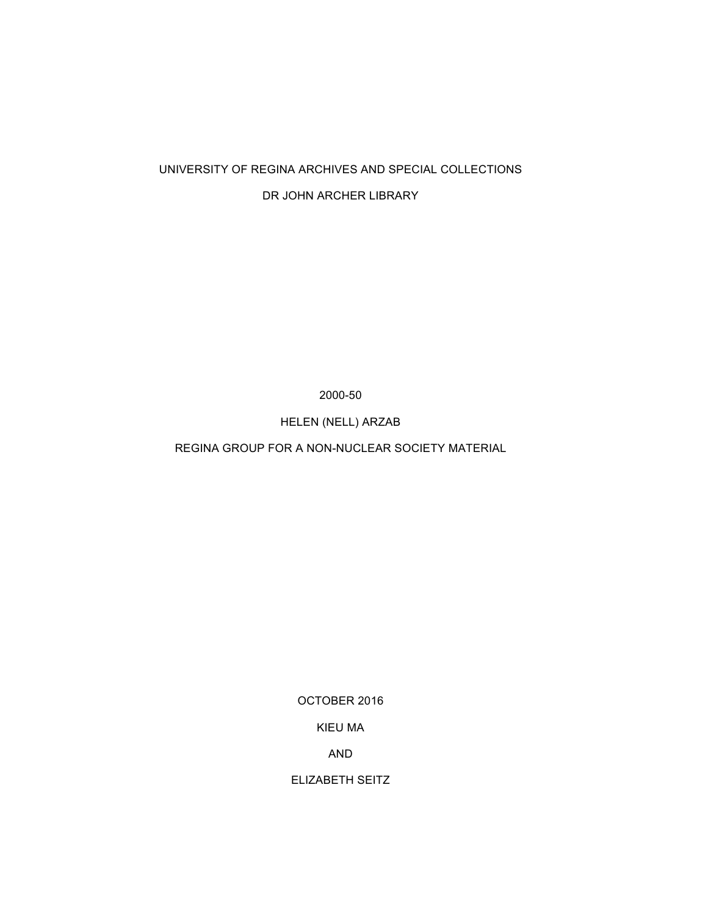### UNIVERSITY OF REGINA ARCHIVES AND SPECIAL COLLECTIONS

### DR JOHN ARCHER LIBRARY

2000-50

HELEN (NELL) ARZAB

REGINA GROUP FOR A NON-NUCLEAR SOCIETY MATERIAL

OCTOBER 2016

KIEU MA

AND

ELIZABETH SEITZ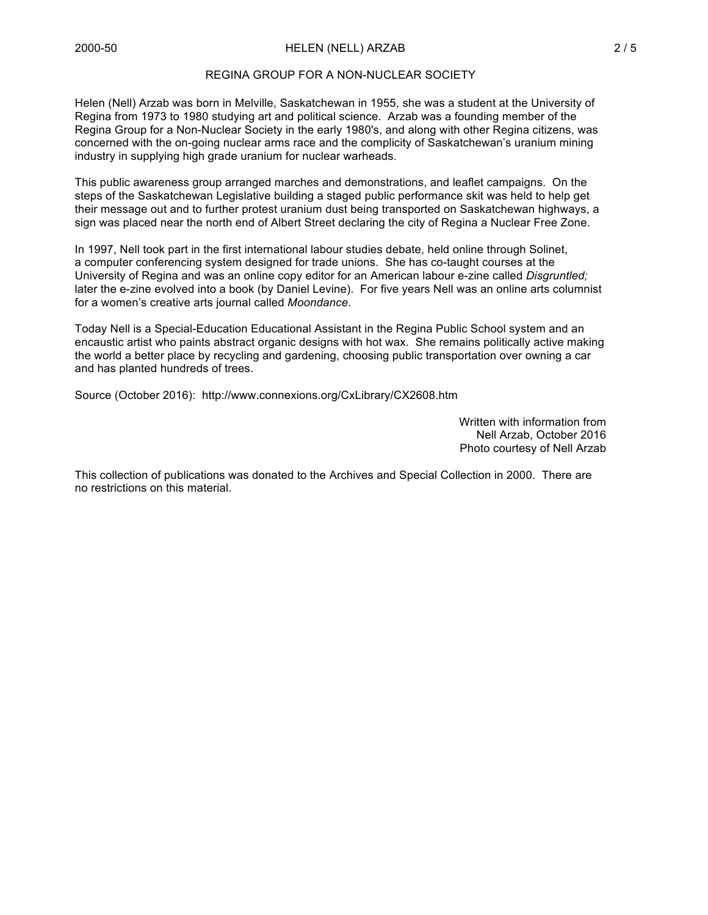#### REGINA GROUP FOR A NON-NUCLEAR SOCIETY

Helen (Nell) Arzab was born in Melville, Saskatchewan in 1955, she was a student at the University of Regina from 1973 to 1980 studying art and political science. Arzab was a founding member of the Regina Group for a Non-Nuclear Society in the early 1980's, and along with other Regina citizens, was concerned with the on-going nuclear arms race and the complicity of Saskatchewan's uranium mining industry in supplying high grade uranium for nuclear warheads.

This public awareness group arranged marches and demonstrations, and leaflet campaigns. On the steps of the Saskatchewan Legislative building a staged public performance skit was held to help get their message out and to further protest uranium dust being transported on Saskatchewan highways, a sign was placed near the north end of Albert Street declaring the city of Regina a Nuclear Free Zone.

In 1997, Nell took part in the first international labour studies debate, held online through Solinet, a computer conferencing system designed for trade unions. She has co-taught courses at the University of Regina and was an online copy editor for an American labour e-zine called *Disgruntled;* later the e-zine evolved into a book (by Daniel Levine). For five years Nell was an online arts columnist for a women's creative arts journal called *Moondance*.

Today Nell is a Special-Education Educational Assistant in the Regina Public School system and an encaustic artist who paints abstract organic designs with hot wax. She remains politically active making the world a better place by recycling and gardening, choosing public transportation over owning a car and has planted hundreds of trees.

Source (October 2016): http://www.connexions.org/CxLibrary/CX2608.htm

Written with information from Nell Arzab, October 2016 Photo courtesy of Nell Arzab

This collection of publications was donated to the Archives and Special Collection in 2000. There are no restrictions on this material.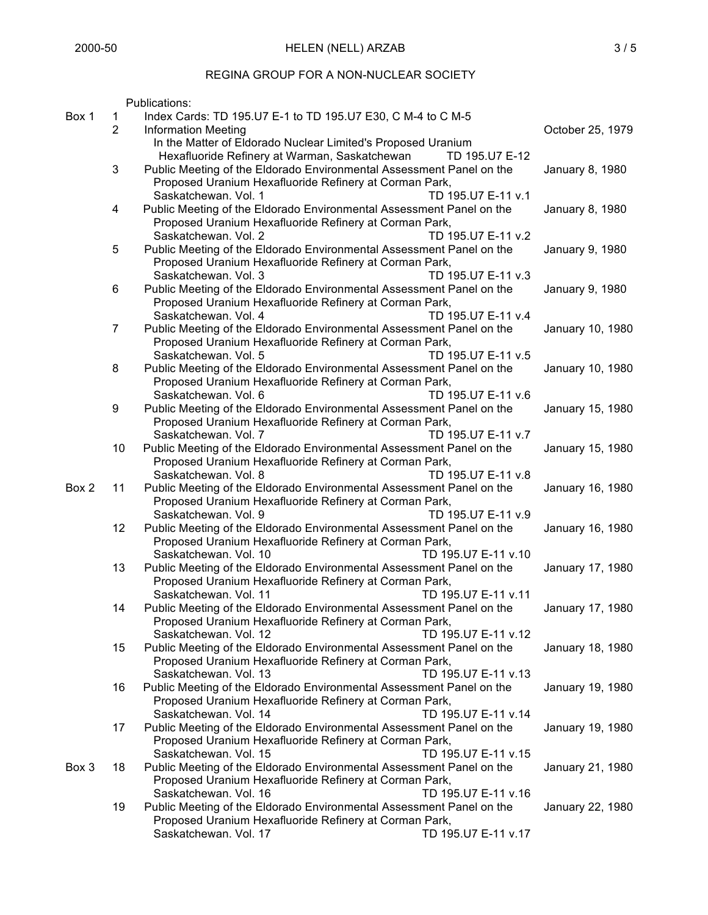# REGINA GROUP FOR A NON-NUCLEAR SOCIETY

|       |                | Publications:                                                                                        |                  |
|-------|----------------|------------------------------------------------------------------------------------------------------|------------------|
| Box 1 | 1              | Index Cards: TD 195.U7 E-1 to TD 195.U7 E30, C M-4 to C M-5                                          |                  |
|       | $\overline{2}$ | <b>Information Meeting</b>                                                                           | October 25, 1979 |
|       |                | In the Matter of Eldorado Nuclear Limited's Proposed Uranium                                         |                  |
|       |                | Hexafluoride Refinery at Warman, Saskatchewan<br>TD 195.U7 E-12                                      |                  |
|       | 3              | Public Meeting of the Eldorado Environmental Assessment Panel on the                                 | January 8, 1980  |
|       |                | Proposed Uranium Hexafluoride Refinery at Corman Park,                                               |                  |
|       |                | TD 195.U7 E-11 v.1<br>Saskatchewan, Vol. 1                                                           |                  |
|       | $\overline{4}$ | Public Meeting of the Eldorado Environmental Assessment Panel on the                                 | January 8, 1980  |
|       |                | Proposed Uranium Hexafluoride Refinery at Corman Park,                                               |                  |
|       |                | Saskatchewan. Vol. 2<br>TD 195.U7 E-11 v.2                                                           |                  |
|       | 5              | Public Meeting of the Eldorado Environmental Assessment Panel on the                                 | January 9, 1980  |
|       |                | Proposed Uranium Hexafluoride Refinery at Corman Park,                                               |                  |
|       |                | Saskatchewan. Vol. 3<br>TD 195.U7 E-11 v.3                                                           |                  |
|       | 6              | Public Meeting of the Eldorado Environmental Assessment Panel on the                                 | January 9, 1980  |
|       |                | Proposed Uranium Hexafluoride Refinery at Corman Park,                                               |                  |
|       |                | Saskatchewan. Vol. 4<br>TD 195.U7 E-11 v.4                                                           |                  |
|       | $\overline{7}$ | Public Meeting of the Eldorado Environmental Assessment Panel on the                                 | January 10, 1980 |
|       |                | Proposed Uranium Hexafluoride Refinery at Corman Park,                                               |                  |
|       |                | Saskatchewan. Vol. 5<br>TD 195.U7 E-11 v.5                                                           |                  |
|       | 8              | Public Meeting of the Eldorado Environmental Assessment Panel on the                                 | January 10, 1980 |
|       |                | Proposed Uranium Hexafluoride Refinery at Corman Park,                                               |                  |
|       |                | Saskatchewan. Vol. 6<br>TD 195.U7 E-11 v.6                                                           |                  |
|       | 9              | Public Meeting of the Eldorado Environmental Assessment Panel on the                                 | January 15, 1980 |
|       |                | Proposed Uranium Hexafluoride Refinery at Corman Park,<br>Saskatchewan. Vol. 7<br>TD 195.U7 E-11 v.7 |                  |
|       | 10             | Public Meeting of the Eldorado Environmental Assessment Panel on the                                 | January 15, 1980 |
|       |                | Proposed Uranium Hexafluoride Refinery at Corman Park,                                               |                  |
|       |                | Saskatchewan. Vol. 8<br>TD 195.U7 E-11 v.8                                                           |                  |
| Box 2 | 11             | Public Meeting of the Eldorado Environmental Assessment Panel on the                                 | January 16, 1980 |
|       |                | Proposed Uranium Hexafluoride Refinery at Corman Park,                                               |                  |
|       |                | Saskatchewan. Vol. 9<br>TD 195.U7 E-11 v.9                                                           |                  |
|       | 12             | Public Meeting of the Eldorado Environmental Assessment Panel on the                                 | January 16, 1980 |
|       |                | Proposed Uranium Hexafluoride Refinery at Corman Park,                                               |                  |
|       |                | Saskatchewan. Vol. 10<br>TD 195.U7 E-11 v.10                                                         |                  |
|       | 13             | Public Meeting of the Eldorado Environmental Assessment Panel on the                                 | January 17, 1980 |
|       |                | Proposed Uranium Hexafluoride Refinery at Corman Park,                                               |                  |
|       |                | Saskatchewan. Vol. 11<br>TD 195.U7 E-11 v.11                                                         |                  |
|       | 14             | Public Meeting of the Eldorado Environmental Assessment Panel on the                                 | January 17, 1980 |
|       |                | Proposed Uranium Hexafluoride Refinery at Corman Park,                                               |                  |
|       |                | Saskatchewan, Vol. 12<br>TD 195.U7 E-11 v.12                                                         |                  |
|       | 15             | Public Meeting of the Eldorado Environmental Assessment Panel on the                                 | January 18, 1980 |
|       |                | Proposed Uranium Hexafluoride Refinery at Corman Park,                                               |                  |
|       |                | Saskatchewan. Vol. 13<br>TD 195.U7 E-11 v.13                                                         |                  |
|       | 16             | Public Meeting of the Eldorado Environmental Assessment Panel on the                                 | January 19, 1980 |
|       |                | Proposed Uranium Hexafluoride Refinery at Corman Park,                                               |                  |
|       |                | Saskatchewan. Vol. 14<br>TD 195.U7 E-11 v.14                                                         |                  |
|       | 17             | Public Meeting of the Eldorado Environmental Assessment Panel on the                                 | January 19, 1980 |
|       |                | Proposed Uranium Hexafluoride Refinery at Corman Park,                                               |                  |
|       |                | Saskatchewan, Vol. 15<br>TD 195.U7 E-11 v.15                                                         |                  |
| Box 3 | 18             | Public Meeting of the Eldorado Environmental Assessment Panel on the                                 | January 21, 1980 |
|       |                | Proposed Uranium Hexafluoride Refinery at Corman Park,                                               |                  |
|       |                | Saskatchewan. Vol. 16<br>TD 195.U7 E-11 v.16                                                         |                  |
|       | 19             | Public Meeting of the Eldorado Environmental Assessment Panel on the                                 | January 22, 1980 |
|       |                | Proposed Uranium Hexafluoride Refinery at Corman Park,                                               |                  |
|       |                | Saskatchewan. Vol. 17<br>TD 195.U7 E-11 v.17                                                         |                  |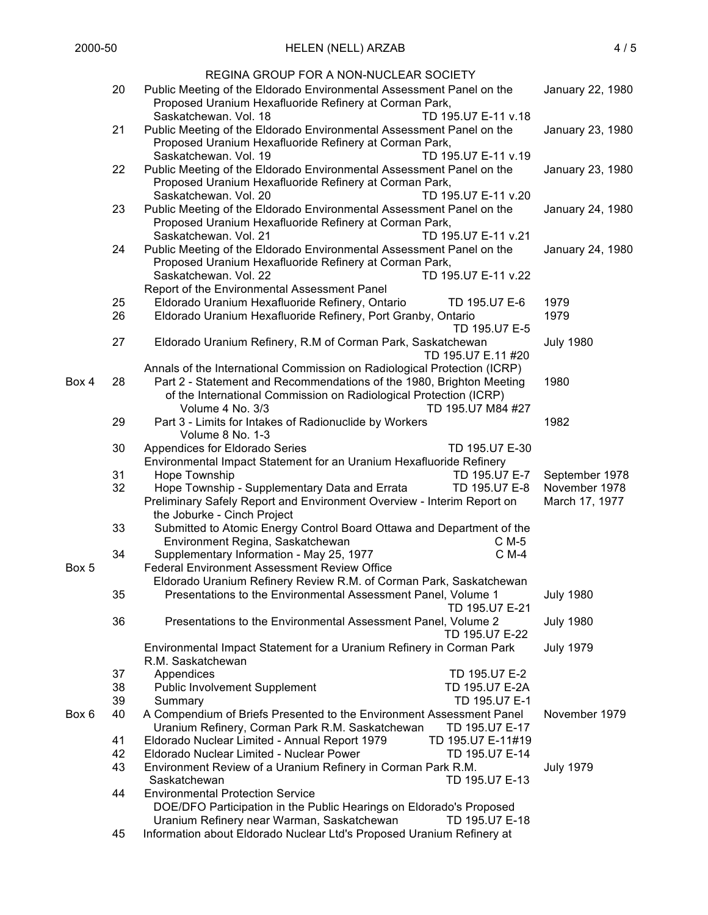|       |    | REGINA GROUP FOR A NON-NUCLEAR SOCIETY                                                        |                  |  |  |  |
|-------|----|-----------------------------------------------------------------------------------------------|------------------|--|--|--|
|       | 20 | Public Meeting of the Eldorado Environmental Assessment Panel on the                          | January 22, 1980 |  |  |  |
|       |    | Proposed Uranium Hexafluoride Refinery at Corman Park,                                        |                  |  |  |  |
|       |    | Saskatchewan. Vol. 18<br>TD 195.U7 E-11 v.18                                                  |                  |  |  |  |
|       | 21 | Public Meeting of the Eldorado Environmental Assessment Panel on the                          | January 23, 1980 |  |  |  |
|       |    | Proposed Uranium Hexafluoride Refinery at Corman Park,                                        |                  |  |  |  |
|       |    | Saskatchewan. Vol. 19<br>TD 195.U7 E-11 v.19                                                  |                  |  |  |  |
|       | 22 | Public Meeting of the Eldorado Environmental Assessment Panel on the                          | January 23, 1980 |  |  |  |
|       |    | Proposed Uranium Hexafluoride Refinery at Corman Park,                                        |                  |  |  |  |
|       |    | TD 195.U7 E-11 v.20<br>Saskatchewan. Vol. 20                                                  |                  |  |  |  |
|       | 23 |                                                                                               |                  |  |  |  |
|       |    | Public Meeting of the Eldorado Environmental Assessment Panel on the                          | January 24, 1980 |  |  |  |
|       |    | Proposed Uranium Hexafluoride Refinery at Corman Park,<br>TD 195.U7 E-11 v.21                 |                  |  |  |  |
|       | 24 | Saskatchewan. Vol. 21<br>Public Meeting of the Eldorado Environmental Assessment Panel on the |                  |  |  |  |
|       |    |                                                                                               | January 24, 1980 |  |  |  |
|       |    | Proposed Uranium Hexafluoride Refinery at Corman Park,                                        |                  |  |  |  |
|       |    | Saskatchewan. Vol. 22<br>TD 195.U7 E-11 v.22                                                  |                  |  |  |  |
|       |    | Report of the Environmental Assessment Panel                                                  |                  |  |  |  |
|       | 25 | Eldorado Uranium Hexafluoride Refinery, Ontario<br>TD 195.U7 E-6                              | 1979             |  |  |  |
|       | 26 | Eldorado Uranium Hexafluoride Refinery, Port Granby, Ontario                                  | 1979             |  |  |  |
|       |    | TD 195.U7 E-5                                                                                 |                  |  |  |  |
|       | 27 | Eldorado Uranium Refinery, R.M of Corman Park, Saskatchewan                                   | <b>July 1980</b> |  |  |  |
|       |    | TD 195.U7 E.11 #20                                                                            |                  |  |  |  |
|       |    | Annals of the International Commission on Radiological Protection (ICRP)                      |                  |  |  |  |
| Box 4 | 28 | Part 2 - Statement and Recommendations of the 1980, Brighton Meeting                          | 1980             |  |  |  |
|       |    | of the International Commission on Radiological Protection (ICRP)                             |                  |  |  |  |
|       |    | TD 195.U7 M84 #27<br>Volume 4 No. 3/3                                                         |                  |  |  |  |
|       | 29 | Part 3 - Limits for Intakes of Radionuclide by Workers                                        | 1982             |  |  |  |
|       |    | Volume 8 No. 1-3                                                                              |                  |  |  |  |
|       | 30 | Appendices for Eldorado Series<br>TD 195.U7 E-30                                              |                  |  |  |  |
|       |    | Environmental Impact Statement for an Uranium Hexafluoride Refinery                           |                  |  |  |  |
|       | 31 | Hope Township<br>TD 195.U7 E-7                                                                | September 1978   |  |  |  |
|       | 32 | Hope Township - Supplementary Data and Errata<br>TD 195.U7 E-8                                | November 1978    |  |  |  |
|       |    | Preliminary Safely Report and Environment Overview - Interim Report on                        | March 17, 1977   |  |  |  |
|       |    | the Joburke - Cinch Project                                                                   |                  |  |  |  |
|       | 33 | Submitted to Atomic Energy Control Board Ottawa and Department of the                         |                  |  |  |  |
|       |    | Environment Regina, Saskatchewan<br>C M-5                                                     |                  |  |  |  |
|       | 34 | Supplementary Information - May 25, 1977<br>C M-4                                             |                  |  |  |  |
| Box 5 |    | <b>Federal Environment Assessment Review Office</b>                                           |                  |  |  |  |
|       |    | Eldorado Uranium Refinery Review R.M. of Corman Park, Saskatchewan                            |                  |  |  |  |
|       | 35 | Presentations to the Environmental Assessment Panel, Volume 1                                 | <b>July 1980</b> |  |  |  |
|       |    | TD 195.U7 E-21                                                                                |                  |  |  |  |
|       | 36 | Presentations to the Environmental Assessment Panel, Volume 2                                 | <b>July 1980</b> |  |  |  |
|       |    | TD 195.U7 E-22                                                                                |                  |  |  |  |
|       |    | Environmental Impact Statement for a Uranium Refinery in Corman Park                          | <b>July 1979</b> |  |  |  |
|       |    | R.M. Saskatchewan                                                                             |                  |  |  |  |
|       | 37 | TD 195.U7 E-2<br>Appendices                                                                   |                  |  |  |  |
|       | 38 | <b>Public Involvement Supplement</b><br>TD 195.U7 E-2A                                        |                  |  |  |  |
|       | 39 | TD 195.U7 E-1<br>Summary                                                                      |                  |  |  |  |
| Box 6 | 40 | A Compendium of Briefs Presented to the Environment Assessment Panel                          | November 1979    |  |  |  |
|       |    | Uranium Refinery, Corman Park R.M. Saskatchewan<br>TD 195.U7 E-17                             |                  |  |  |  |
|       | 41 | Eldorado Nuclear Limited - Annual Report 1979<br>TD 195.U7 E-11#19                            |                  |  |  |  |
|       | 42 | Eldorado Nuclear Limited - Nuclear Power<br>TD 195.U7 E-14                                    |                  |  |  |  |
|       | 43 | Environment Review of a Uranium Refinery in Corman Park R.M.                                  | <b>July 1979</b> |  |  |  |
|       |    | TD 195.U7 E-13<br>Saskatchewan                                                                |                  |  |  |  |
|       | 44 | <b>Environmental Protection Service</b>                                                       |                  |  |  |  |
|       |    | DOE/DFO Participation in the Public Hearings on Eldorado's Proposed                           |                  |  |  |  |
|       |    | Uranium Refinery near Warman, Saskatchewan<br>TD 195.U7 E-18                                  |                  |  |  |  |
|       | 45 | Information about Eldorado Nuclear Ltd's Proposed Uranium Refinery at                         |                  |  |  |  |